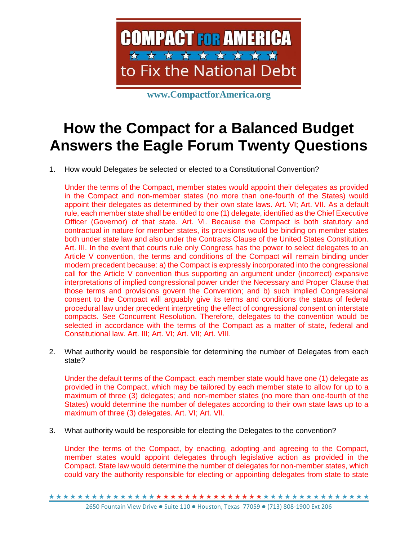

**www.CompactforAmerica.org**

## **How the Compact for a Balanced Budget Answers the Eagle Forum Twenty Questions**

1. How would Delegates be selected or elected to a Constitutional Convention?

Under the terms of the Compact, member states would appoint their delegates as provided in the Compact and non-member states (no more than one-fourth of the States) would appoint their delegates as determined by their own state laws. Art. VI; Art. VII. As a default rule, each member state shall be entitled to one (1) delegate, identified as the Chief Executive Officer (Governor) of that state. Art. VI. Because the Compact is both statutory and contractual in nature for member states, its provisions would be binding on member states both under state law and also under the Contracts Clause of the United States Constitution. Art. III. In the event that courts rule only Congress has the power to select delegates to an Article V convention, the terms and conditions of the Compact will remain binding under modern precedent because: a) the Compact is expressly incorporated into the congressional call for the Article V convention thus supporting an argument under (incorrect) expansive interpretations of implied congressional power under the Necessary and Proper Clause that those terms and provisions govern the Convention; and b) such implied Congressional consent to the Compact will arguably give its terms and conditions the status of federal procedural law under precedent interpreting the effect of congressional consent on interstate compacts. See Concurrent Resolution. Therefore, delegates to the convention would be selected in accordance with the terms of the Compact as a matter of state, federal and Constitutional law. Art. III; Art. VI; Art. VII; Art. VIII.

2. What authority would be responsible for determining the number of Delegates from each state?

Under the default terms of the Compact, each member state would have one (1) delegate as provided in the Compact, which may be tailored by each member state to allow for up to a maximum of three (3) delegates; and non-member states (no more than one-fourth of the States) would determine the number of delegates according to their own state laws up to a maximum of three (3) delegates. Art. VI; Art. VII.

3. What authority would be responsible for electing the Delegates to the convention?

Under the terms of the Compact, by enacting, adopting and agreeing to the Compact, member states would appoint delegates through legislative action as provided in the Compact. State law would determine the number of delegates for non-member states, which could vary the authority responsible for electing or appointing delegates from state to state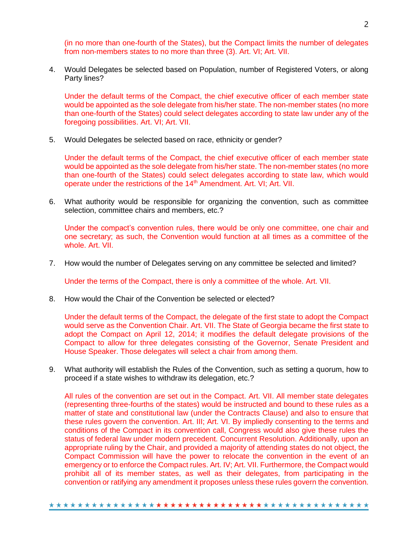(in no more than one-fourth of the States), but the Compact limits the number of delegates from non-members states to no more than three (3). Art. VI; Art. VII.

4. Would Delegates be selected based on Population, number of Registered Voters, or along Party lines?

Under the default terms of the Compact, the chief executive officer of each member state would be appointed as the sole delegate from his/her state. The non-member states (no more than one-fourth of the States) could select delegates according to state law under any of the foregoing possibilities. Art. VI; Art. VII.

5. Would Delegates be selected based on race, ethnicity or gender?

Under the default terms of the Compact, the chief executive officer of each member state would be appointed as the sole delegate from his/her state. The non-member states (no more than one-fourth of the States) could select delegates according to state law, which would operate under the restrictions of the 14<sup>th</sup> Amendment. Art. VI; Art. VII.

6. What authority would be responsible for organizing the convention, such as committee selection, committee chairs and members, etc.?

Under the compact's convention rules, there would be only one committee, one chair and one secretary; as such, the Convention would function at all times as a committee of the whole. Art. VII.

7. How would the number of Delegates serving on any committee be selected and limited?

Under the terms of the Compact, there is only a committee of the whole. Art. VII.

8. How would the Chair of the Convention be selected or elected?

Under the default terms of the Compact, the delegate of the first state to adopt the Compact would serve as the Convention Chair. Art. VII. The State of Georgia became the first state to adopt the Compact on April 12, 2014; it modifies the default delegate provisions of the Compact to allow for three delegates consisting of the Governor, Senate President and House Speaker. Those delegates will select a chair from among them.

9. What authority will establish the Rules of the Convention, such as setting a quorum, how to proceed if a state wishes to withdraw its delegation, etc.?

All rules of the convention are set out in the Compact. Art. VII. All member state delegates (representing three-fourths of the states) would be instructed and bound to these rules as a matter of state and constitutional law (under the Contracts Clause) and also to ensure that these rules govern the convention. Art. III; Art. VI. By impliedly consenting to the terms and conditions of the Compact in its convention call, Congress would also give these rules the status of federal law under modern precedent. Concurrent Resolution. Additionally, upon an appropriate ruling by the Chair, and provided a majority of attending states do not object, the Compact Commission will have the power to relocate the convention in the event of an emergency or to enforce the Compact rules. Art. IV; Art. VII. Furthermore, the Compact would prohibit all of its member states, as well as their delegates, from participating in the convention or ratifying any amendment it proposes unless these rules govern the convention.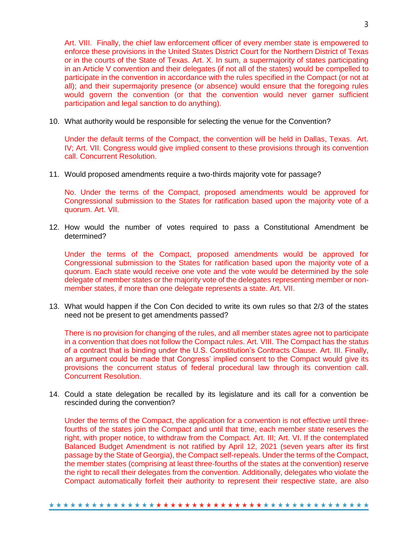Art. VIII. Finally, the chief law enforcement officer of every member state is empowered to enforce these provisions in the United States District Court for the Northern District of Texas or in the courts of the State of Texas. Art. X. In sum, a supermajority of states participating in an Article V convention and their delegates (if not all of the states) would be compelled to participate in the convention in accordance with the rules specified in the Compact (or not at all); and their supermajority presence (or absence) would ensure that the foregoing rules would govern the convention (or that the convention would never garner sufficient participation and legal sanction to do anything).

10. What authority would be responsible for selecting the venue for the Convention?

Under the default terms of the Compact, the convention will be held in Dallas, Texas. Art. IV; Art. VII. Congress would give implied consent to these provisions through its convention call. Concurrent Resolution.

11. Would proposed amendments require a two-thirds majority vote for passage?

No. Under the terms of the Compact, proposed amendments would be approved for Congressional submission to the States for ratification based upon the majority vote of a quorum. Art. VII.

12. How would the number of votes required to pass a Constitutional Amendment be determined?

Under the terms of the Compact, proposed amendments would be approved for Congressional submission to the States for ratification based upon the majority vote of a quorum. Each state would receive one vote and the vote would be determined by the sole delegate of member states or the majority vote of the delegates representing member or nonmember states, if more than one delegate represents a state. Art. VII.

13. What would happen if the Con Con decided to write its own rules so that 2/3 of the states need not be present to get amendments passed?

There is no provision for changing of the rules, and all member states agree not to participate in a convention that does not follow the Compact rules. Art. VIII. The Compact has the status of a contract that is binding under the U.S. Constitution's Contracts Clause. Art. III. Finally, an argument could be made that Congress' implied consent to the Compact would give its provisions the concurrent status of federal procedural law through its convention call. Concurrent Resolution.

14. Could a state delegation be recalled by its legislature and its call for a convention be rescinded during the convention?

Under the terms of the Compact, the application for a convention is not effective until threefourths of the states join the Compact and until that time, each member state reserves the right, with proper notice, to withdraw from the Compact. Art. III; Art. VI. If the contemplated Balanced Budget Amendment is not ratified by April 12, 2021 (seven years after its first passage by the State of Georgia), the Compact self-repeals. Under the terms of the Compact, the member states (comprising at least three-fourths of the states at the convention) reserve the right to recall their delegates from the convention. Additionally, delegates who violate the Compact automatically forfeit their authority to represent their respective state, are also